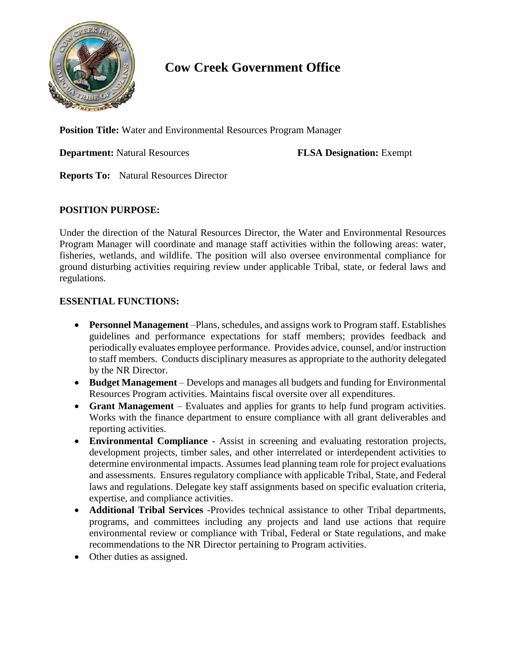

## **Cow Creek Government Office**

**Position Title:** Water and Environmental Resources Program Manager

**Department:** Natural Resources **FLSA Designation:** Exempt

**Reports To:** Natural Resources Director

## **POSITION PURPOSE:**

Under the direction of the Natural Resources Director, the Water and Environmental Resources Program Manager will coordinate and manage staff activities within the following areas: water, fisheries, wetlands, and wildlife. The position will also oversee environmental compliance for ground disturbing activities requiring review under applicable Tribal, state, or federal laws and regulations.

## **ESSENTIAL FUNCTIONS:**

- **Personnel Management** –Plans, schedules, and assigns work to Program staff. Establishes guidelines and performance expectations for staff members; provides feedback and periodically evaluates employee performance. Provides advice, counsel, and/or instruction to staff members. Conducts disciplinary measures as appropriate to the authority delegated by the NR Director.
- **Budget Management** Develops and manages all budgets and funding for Environmental Resources Program activities. Maintains fiscal oversite over all expenditures.
- **Grant Management**  Evaluates and applies for grants to help fund program activities. Works with the finance department to ensure compliance with all grant deliverables and reporting activities.
- **Environmental Compliance** Assist in screening and evaluating restoration projects, development projects, timber sales, and other interrelated or interdependent activities to determine environmental impacts. Assumes lead planning team role for project evaluations and assessments. Ensures regulatory compliance with applicable Tribal, State, and Federal laws and regulations. Delegate key staff assignments based on specific evaluation criteria, expertise, and compliance activities.
- **Additional Tribal Services** -Provides technical assistance to other Tribal departments, programs, and committees including any projects and land use actions that require environmental review or compliance with Tribal, Federal or State regulations, and make recommendations to the NR Director pertaining to Program activities.
- Other duties as assigned.